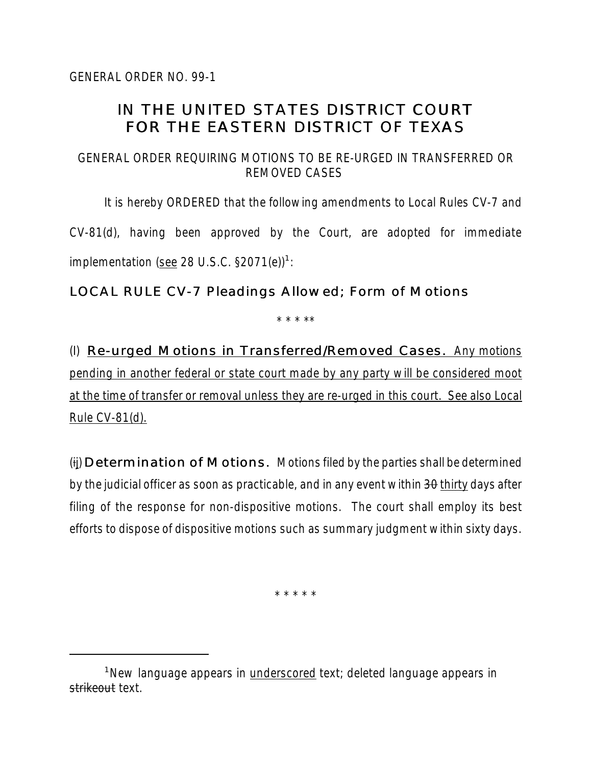## IN THE UNITED STATES DISTRICT COURT FOR THE EASTERN DISTRICT OF TEXAS

## GENERAL ORDER REQUIRING MOTIONS TO BE RE-URGED IN TRANSFERRED OR REMOVED CASES

It is hereby ORDERED that the following amendments to Local Rules CV-7 and CV-81(d), having been approved by the Court, are adopted for immediate implementation (see 28 U.S.C.  $\S 2071(e)^{1}$ :

## LOCAL RULE CV-7 Pleadings Allowed; Form of Motions

\* \* \* \*\*

(I) Re-urged Motions in Transferred/Removed Cases. Any motions pending in another federal or state court made by any party will be considered moot at the time of transfer or removal unless they are re-urged in this court. See also Local Rule CV-81(d).

(ij) Determination of Motions. Motions filed by the parties shall be determined by the judicial officer as soon as practicable, and in any event within  $3\theta$  thirty days after filing of the response for non-dispositive motions. The court shall employ its best efforts to dispose of dispositive motions such as summary judgment within sixty days.

\* \* \* \* \*

<sup>&</sup>lt;sup>1</sup>New language appears in underscored text; deleted language appears in strikeout text.